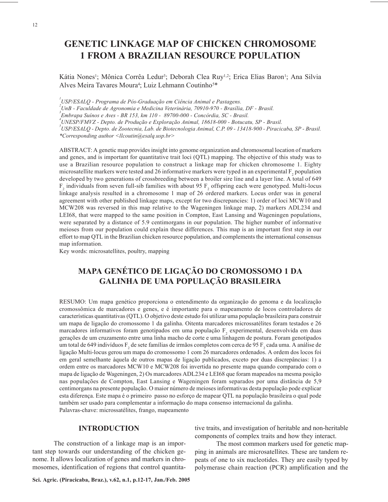# **GENETIC LINKAGE MAP OF CHICKEN CHROMOSOME 1 FROM A BRAZILIAN RESOURCE POPULATION**

Kátia Nones<sup>1</sup>; Mônica Corrêa Ledur<sup>3</sup>; Deborah Clea Ruy<sup>1,2</sup>; Erica Elias Baron<sup>1</sup>; Ana Silvia Alves Meira Tavares Moura<sup>4</sup>; Luiz Lehmann Coutinho<sup>5\*</sup>

 *USP/ESALQ - Programa de Pós-Graduação em Ciência Animal e Pastagens. UnB - Faculdade de Agronomia e Medicina Veterinária, 70910-970 - Brasília, DF - Brasil. Embrapa Suínos e Aves - BR 153, km 110 - 89700-000 - Concórdia, SC - Brasil. UNESP/FMVZ - Depto. de Produção e Exploração Animal, 18618-000 - Botucatu, SP - Brasil. USP/ESALQ - Depto. de Zootecnia, Lab. de Biotecnologia Animal, C.P. 09 - 13418-900 - Piracicaba, SP - Brasil. \*Corresponding author <llcoutin@esalq.usp.br>*

ABSTRACT: A genetic map provides insight into genome organization and chromosomal location of markers and genes, and is important for quantitative trait loci (QTL) mapping. The objective of this study was to use a Brazilian resource population to construct a linkage map for chicken chromosome 1. Eighty microsatellite markers were tested and 26 informative markers were typed in an experimental  $F_2$  population developed by two generations of crossbreeding between a broiler sire line and a layer line. A total of 649  $F_2$  individuals from seven full-sib families with about 95  $F_2$  offspring each were genotyped. Multi-locus linkage analysis resulted in a chromosome 1 map of 26 ordered markers. Locus order was in general agreement with other published linkage maps, except for two discrepancies: 1) order of loci MCW10 and MCW208 was reversed in this map relative to the Wageningen linkage map, 2) markers ADL234 and LEI68, that were mapped to the same position in Compton, East Lansing and Wageningen populations, were separated by a distance of 5.9 centimorgans in our population. The higher number of informative meioses from our population could explain these differences. This map is an important first step in our effort to map QTL in the Brazilian chicken resource population, and complements the international consensus map information.

Key words: microsatellites, poultry, mapping

# **MAPA GENÉTICO DE LIGAÇÃO DO CROMOSSOMO 1 DA GALINHA DE UMA POPULAÇÃO BRASILEIRA**

RESUMO: Um mapa genético proporciona o entendimento da organização do genoma e da localização cromossômica de marcadores e genes, e é importante para o mapeamento de locos controladores de características quantitativas (QTL). O objetivo deste estudo foi utilizar uma população brasileira para construir um mapa de ligação do cromossomo 1 da galinha. Oitenta marcadores microssatélites foram testados e 26 marcadores informativos foram genotipados em uma população  $F_2$  experimental, desenvolvida em duas gerações de um cruzamento entre uma linha macho de corte e uma linhagem de postura. Foram genotipados um total de 649 indivíduos  $F_2$  de sete famílias de irmãos completos com cerca de 95  $F_2$  cada uma. A análise de ligação Multi-locus gerou um mapa do cromossomo 1 com 26 marcadores ordenados. A ordem dos locos foi em geral semelhante àquela de outros mapas de ligação publicados, exceto por duas discrepâncias: 1) a ordem entre os marcadores MCW10 e MCW208 foi invertida no presente mapa quando comparado com o mapa de ligação de Wageningen, 2) Os marcadores ADL234 e LEI68 que foram mapeados na mesma posição nas populações de Compton, East Lansing e Wageningen foram separados por uma distância de 5,9 centimorgans na presente população. O maior número de meioses informativas desta população pode explicar esta diferença. Este mapa é o primeiro passo no esforço de mapear QTL na população brasileira o qual pode também ser usado para complementar a informação do mapa consenso internacional da galinha. Palavras-chave: microssatélites, frango, mapeamento

# **INTRODUCTION**

The construction of a linkage map is an important step towards our understanding of the chicken genome. It allows localization of genes and markers in chromosomes, identification of regions that control quantitative traits, and investigation of heritable and non-heritable components of complex traits and how they interact.

The most common markers used for genetic mapping in animals are microsatellites. These are tandem repeats of one to six nucleotides. They are easily typed by polymerase chain reaction (PCR) amplification and the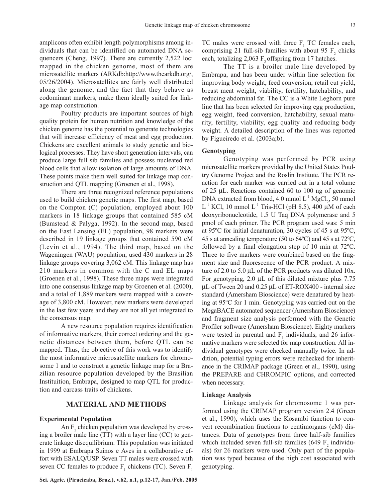amplicons often exhibit length polymorphisms among individuals that can be identified on automated DNA sequencers (Cheng, 1997). There are currently 2,522 loci mapped in the chicken genome, most of them are microsatellite markers (ARKdb:http://www.thearkdb.org/, 05/26/2004). Microsatellites are fairly well distributed along the genome, and the fact that they behave as codominant markers, make them ideally suited for linkage map construction.

Poultry products are important sources of high quality protein for human nutrition and knowledge of the chicken genome has the potential to generate technologies that will increase efficiency of meat and egg production. Chickens are excellent animals to study genetic and biological processes. They have short generation intervals, can produce large full sib families and possess nucleated red blood cells that allow isolation of large amounts of DNA. These points make them well suited for linkage map construction and QTL mapping (Groenen et al., 1998).

There are three recognized reference populations used to build chicken genetic maps. The first map, based on the Compton (C) population, employed about 100 markers in 18 linkage groups that contained 585 cM (Bumstead & Palyga, 1992). In the second map, based on the East Lansing (EL) population, 98 markers were described in 19 linkage groups that contained 590 cM (Levin et al., 1994). The third map, based on the Wageningen (WAU) population, used 430 markers in 28 linkage groups covering 3,062 cM. This linkage map has 210 markers in common with the C and EL maps (Groenen et al., 1998). These three maps were integrated into one consensus linkage map by Groenen et al. (2000), and a total of 1,889 markers were mapped with a coverage of 3,800 cM. However, new markers were developed in the last few years and they are not all yet integrated to the consensus map.

A new resource population requires identification of informative markers, their correct ordering and the genetic distances between them, before QTL can be mapped. Thus, the objective of this work was to identify the most informative microsatellite markers for chromosome 1 and to construct a genetic linkage map for a Brazilian resource population developed by the Brasilian Instituition, Embrapa, designed to map QTL for production and carcass traits of chickens.

## **MATERIAL AND METHODS**

#### **Experimental Population**

An  $F_2$  chicken population was developed by crossing a broiler male line (TT) with a layer line (CC) to generate linkage disequilibrium. This population was initiated in 1999 at Embrapa Suínos e Aves in a collaborative effort with ESALQ/USP. Seven TT males were crossed with seven CC females to produce  $F_1$  chickens (TC). Seven  $F_1$ 

TC males were crossed with three  $F_1$  TC females each, comprising 21 full-sib families with about 95  $F_2$  chicks each, totalizing  $2,063$  F<sub>2</sub> offspring from 17 hatches.

The TT is a broiler male line developed by Embrapa, and has been under within line selection for improving body weight, feed conversion, retail cut yield, breast meat weight, viability, fertility, hatchability, and reducing abdominal fat. The CC is a White Leghorn pure line that has been selected for improving egg production, egg weight, feed conversion, hatchability, sexual maturity, fertility, viability, egg quality and reducing body weight. A detailed description of the lines was reported by Figueiredo et al. (2003a;b).

### **Genotyping**

Genotyping was performed by PCR using microsatellite markers provided by the United States Poultry Genome Project and the Roslin Institute. The PCR reaction for each marker was carried out in a total volume of 25 µL. Reactions contained 60 to 100 ng of genomic DNA extracted from blood,  $4.0 \text{ mmol L}^{-1} \text{ MgCl}_2$ ,  $50 \text{ mmol}$ L<sup>-1</sup> KCl, 10 mmol L<sup>-1</sup> Tris-HCl (pH 8.5), 400  $\mu$ M of each deoxyribonucleotide, 1.5 U Taq DNA polymerase and 5 pmol of each primer. The PCR program used was: 5 min at 95ºC for initial denaturation, 30 cycles of 45 s at 95ºC, 45 s at annealing temperature (50 to 64ºC) and 45 s at 72ºC, followed by a final elongation step of 10 min at 72ºC. Three to five markers were combined based on the fragment size and fluorescence of the PCR product. A mixture of 2.0 to 5.0 µL of the PCR products was diluted 10x. For genotyping,  $2.0 \mu L$  of this diluted mixture plus 7.75 µL of Tween 20 and 0.25 µL of ET-ROX400 - internal size standard (Amersham Bioscience) were denatured by heating at 95ºC for 1 min. Genotyping was carried out on the MegaBACE automated sequencer (Amersham Bioscience) and fragment size analysis performed with the Genetic Profiler software (Amersham Bioscience). Eighty markers were tested in parental and  $F_1$  individuals, and 26 informative markers were selected for map construction. All individual genotypes were checked manually twice. In addition, potential typing errors were rechecked for inheritance in the CRIMAP package (Green et al., 1990), using the PREPARE and CHROMPIC options, and corrected when necessary.

#### **Linkage Analysis**

Linkage analysis for chromosome 1 was performed using the CRIMAP program version 2.4 (Green et al., 1990), which uses the Kosambi function to convert recombination fractions to centimorgans (cM) distances. Data of genotypes from three half-sib families which included seven full-sib families (649  $F_2$  individuals) for 26 markers were used. Only part of the population was typed because of the high cost associated with genotyping.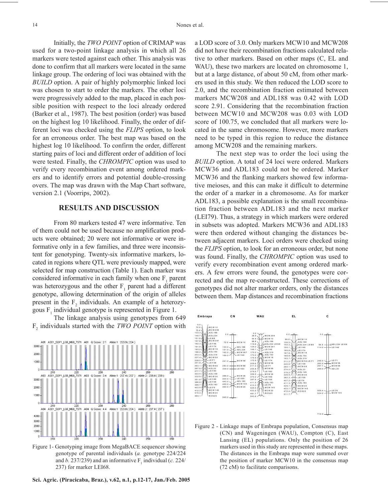Initially, the *TWO POINT* option of CRIMAP was used for a two-point linkage analysis in which all 26 markers were tested against each other. This analysis was done to confirm that all markers were located in the same linkage group. The ordering of loci was obtained with the *BUILD* option. A pair of highly polymorphic linked loci was chosen to start to order the markers. The other loci were progressively added to the map, placed in each possible position with respect to the loci already ordered (Barker et al., 1987). The best position (order) was based on the highest log 10 likelihood. Finally, the order of different loci was checked using the *FLIPS* option, to look for an erroneous order. The best map was based on the highest log 10 likelihood. To confirm the order, different starting pairs of loci and different order of addition of loci were tested. Finally, the *CHROMPIC* option was used to verify every recombination event among ordered markers and to identify errors and potential double-crossing overs. The map was drawn with the Map Chart software, version 2.1 (Voorrips, 2002).

# **RESULTS AND DISCUSSION**

From 80 markers tested 47 were informative. Ten of them could not be used because no amplification products were obtained; 20 were not informative or were informative only in a few families, and three were inconsistent for genotyping. Twenty-six informative markers, located in regions where QTL were previously mapped, were selected for map construction (Table 1). Each marker was considered informative in each family when one  $F_1$  parent was heterozygous and the other  $F_1$  parent had a different genotype, allowing determination of the origin of alleles present in the  $F_2$  individuals. An example of a heterozygous  $F_1$  individual genotype is represented in Figure 1.

The linkage analysis using genotypes from 649 F2 individuals started with the *TWO POINT* option with



Figure 1- Genotyping image from MegaBACE sequencer showing genotype of parental individuals (*a.* genotype 224/224 and *b*. 237/239) and an informative  $F_1$  individual (*c.* 224/ 237) for marker LEI68.

**Sci. Agric. (Piracicaba, Braz.), v.62, n.1, p.12-17, Jan./Feb. 2005**

a LOD score of 3.0. Only markers MCW10 and MCW208 did not have their recombination fractions calculated relative to other markers. Based on other maps (C, EL and WAU), these two markers are located on chromosome 1, but at a large distance, of about 50 cM, from other markers used in this study. We then reduced the LOD score to 2.0, and the recombination fraction estimated between markers MCW208 and ADL188 was 0.42 with LOD score 2.91. Considering that the recombination fraction between MCW10 and MCW208 was 0.03 with LOD score of 100.75, we concluded that all markers were located in the same chromosome. However, more markers need to be typed in this region to reduce the distance among MCW208 and the remaining markers.

The next step was to order the loci using the *BUILD* option. A total of 24 loci were ordered. Markers MCW36 and ADL183 could not be ordered. Marker MCW36 and the flanking markers showed few informative meioses, and this can make it difficult to determine the order of a marker in a chromosome. As for marker ADL183, a possible explanation is the small recombination fraction between ADL183 and the next marker (LEI79). Thus, a strategy in which markers were ordered in subsets was adopted. Markers MCW36 and ADL183 were then ordered without changing the distances between adjacent markers. Loci orders were checked using the *FLIPS* option, to look for an erroneous order, but none was found. Finally, the *CHROMPIC* option was used to verify every recombination event among ordered markers. A few errors were found, the genotypes were corrected and the map re-constructed. These corrections of genotypes did not alter marker orders, only the distances between them. Map distances and recombination fractions



Figure 2 - Linkage maps of Embrapa population, Consensus map (CN) and Wageningen (WAU), Compton (C), East Lansing (EL) populations. Only the position of 26 markers used in this study are represented in these maps. The distances in the Embrapa map were summed over the position of marker MCW10 in the consensus map (72 cM) to facilitate comparisons.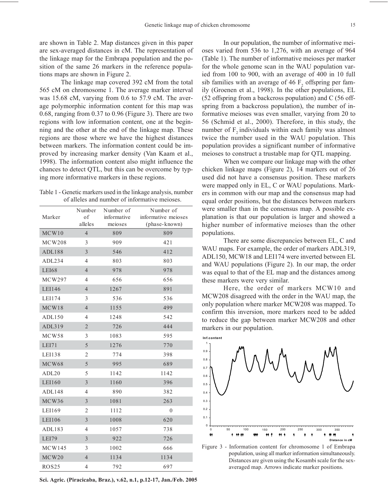are shown in Table 2. Map distances given in this paper are sex-averaged distances in cM. The representation of the linkage map for the Embrapa population and the position of the same 26 markers in the reference populations maps are shown in Figure 2.

The linkage map covered 392 cM from the total 565 cM on chromosome 1. The average marker interval was 15.68 cM, varying from 0.6 to 57.9 cM. The average polymorphic information content for this map was 0.68, ranging from 0.37 to 0.96 (Figure 3). There are two regions with low information content, one at the beginning and the other at the end of the linkage map. These regions are those where we have the highest distances between markers. The information content could be improved by increasing marker density (Van Kaam et al., 1998). The information content also might influence the chances to detect QTL, but this can be overcome by typing more informative markers in these regions.

Table 1 - Genetic markers used in the linkage analysis, number of alleles and number of informative meioses.

| Marker            | Number<br>of<br>alleles | Number of<br>informative<br>meioses | Number of<br>informative meioses<br>(phase-known) |
|-------------------|-------------------------|-------------------------------------|---------------------------------------------------|
| MCW10             | $\overline{4}$          | 809                                 | 809                                               |
| <b>MCW208</b>     | 3                       | 909                                 | 421                                               |
| ADL188            | $\mathfrak{Z}$          | 546                                 | 412                                               |
| ADL234            | $\overline{4}$          | 803                                 | 803                                               |
| <b>LEI68</b>      | $\overline{4}$          | 978                                 | 978                                               |
| <b>MCW297</b>     | 4                       | 656                                 | 656                                               |
| LEI146            | $\overline{4}$          | 1267                                | 891                                               |
| LEI174            | 3                       | 536                                 | 536                                               |
| MCW18             | $\overline{4}$          | 1155                                | 499                                               |
| ADL150            | $\overline{4}$          | 1248                                | 542                                               |
| ADL319            | $\sqrt{2}$              | 726                                 | 444                                               |
| MCW58             | 3                       | 1083                                | 595                                               |
| LEI71             | 5                       | 1276                                | 770                                               |
| <b>LEI138</b>     | 2                       | 774                                 | 398                                               |
| MCW68             | 5                       | 995                                 | 689                                               |
| ADL <sub>20</sub> | 5                       | 1142                                | 1142                                              |
| LEI160            | 3                       | 1160                                | 396                                               |
| ADL148            | $\overline{4}$          | 890                                 | 382                                               |
| MCW36             | 3                       | 1081                                | 263                                               |
| LEI169            | $\overline{2}$          | 1112                                | $\theta$                                          |
| LEI106            | 3                       | 1008                                | 620                                               |
| ADL183            | $\overline{4}$          | 1057                                | 738                                               |
| LEI79             | 3                       | 922                                 | 726                                               |
| <b>MCW145</b>     | 3                       | 1002                                | 666                                               |
| MCW20             | $\overline{4}$          | 1134                                | 1134                                              |
| <b>ROS25</b>      | 4                       | 792                                 | 697                                               |

**Sci. Agric. (Piracicaba, Braz.), v.62, n.1, p.12-17, Jan./Feb. 2005**

In our population, the number of informative meioses varied from 536 to 1,276, with an average of 964 (Table 1). The number of informative meioses per marker for the whole genome scan in the WAU population varied from 100 to 900, with an average of 400 in 10 full sib families with an average of 46  $F<sub>2</sub>$  offspring per family (Groenen et al., 1998). In the other populations, EL (52 offspring from a backcross population) and C (56 offspring from a backcross population), the number of informative meioses was even smaller, varying from 20 to 56 (Schmid et al., 2000). Therefore, in this study, the number of  $F<sub>2</sub>$  individuals within each family was almost twice the number used in the WAU population. This population provides a significant number of informative meioses to construct a trustable map for QTL mapping.

When we compare our linkage map with the other chicken linkage maps (Figure 2), 14 markers out of 26 used did not have a consensus position. These markers were mapped only in EL, C or WAU populations. Markers in common with our map and the consensus map had equal order positions, but the distances between markers were smaller than in the consensus map. A possible explanation is that our population is larger and showed a higher number of informative meioses than the other populations.

There are some discrepancies between EL, C and WAU maps. For example, the order of markers ADL319, ADL150, MCW18 and LEI174 were inverted between EL and WAU populations (Figure 2). In our map, the order was equal to that of the EL map and the distances among these markers were very similar.

Here, the order of markers MCW10 and MCW208 disagreed with the order in the WAU map, the only population where marker MCW208 was mapped. To confirm this inversion, more markers need to be added to reduce the gap between marker MCW208 and other markers in our population.



Figure 3 - Information content for chromosome 1 of Embrapa population, using all marker information simultaneously. Distances are given using the Kosambi scale for the sexaveraged map. Arrows indicate marker positions.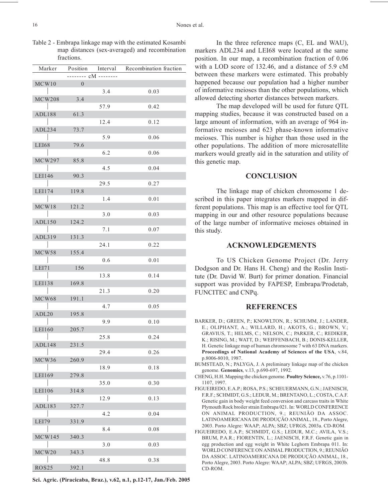| Table 2 - Embrapa linkage map with the estimated Kosambi |  |
|----------------------------------------------------------|--|
| map distances (sex-averaged) and recombination           |  |
| fractions.                                               |  |

| Marker        | Position                 |      | Interval Recombination fraction |
|---------------|--------------------------|------|---------------------------------|
|               |                          |      |                                 |
| MCW10         | $\overline{\phantom{0}}$ |      |                                 |
|               |                          | 3.4  | 0.03                            |
| <b>MCW208</b> | 3.4                      |      |                                 |
|               |                          | 57.9 | 0.42                            |
|               |                          |      |                                 |
| ADL188        | 61.3                     |      |                                 |
|               |                          | 12.4 | 0.12                            |
| ADL234        | 73.7                     |      |                                 |
|               |                          | 5.9  | 0.06                            |
| LEI68         | 79.6                     |      |                                 |
|               |                          | 6.2  | 0.06                            |
|               |                          |      |                                 |
| MCW297        | 85.8                     |      |                                 |
|               |                          | 4.5  | 0.04                            |
| LEI146        | 90.3                     |      |                                 |
|               |                          | 29.5 | 0.27                            |
| LEI174        | 119.8                    |      |                                 |
|               |                          | 1.4  | 0.01                            |
| MCW18         | 121.2                    |      |                                 |
|               |                          |      |                                 |
|               |                          | 3.0  | 0.03                            |
| ADL150        | 124.2                    |      |                                 |
|               |                          | 7.1  | 0.07                            |
| ADL319        | 131.3                    |      |                                 |
|               |                          | 24.1 | 0.22                            |
|               |                          |      |                                 |
| MCW58         | 155.4                    |      |                                 |
|               |                          | 0.6  | 0.01                            |
| LEI71         | 156                      |      |                                 |
|               |                          | 13.8 | 0.14                            |
| LEI138        | 169.8                    |      |                                 |
|               |                          | 21.3 | 0.20                            |
|               |                          |      |                                 |
| MCW68         | 191.1                    |      |                                 |
|               |                          | 4.7  | 0.05                            |
| ADL20         | 195.8                    |      |                                 |
|               |                          | 9.9  | 0.10                            |
| LEI160        | 205.7                    |      |                                 |
|               |                          | 25.8 | 0.24                            |
| ADL148        | 231.5                    |      |                                 |
| $\mathbf{1}$  |                          |      |                                 |
|               |                          | 29.4 | 0.26                            |
| MCW36         | 260.9                    |      |                                 |
|               |                          | 18.9 | 0.18                            |
| LEI169        | 279.8                    |      |                                 |
|               |                          | 35.0 | 0.30                            |
| LEI106        | 314.8                    |      |                                 |
|               |                          |      |                                 |
|               |                          | 12.9 | 0.13                            |
| ADL183        | 327.7                    |      |                                 |
|               |                          | 4.2  | 0.04                            |
| LEI79         | 331.9                    |      |                                 |
|               |                          | 8.4  | 0.08                            |
| MCW145        |                          |      |                                 |
|               | 340.3                    |      |                                 |
|               |                          | 3.0  | 0.03                            |
| MCW20         | 343.3                    |      |                                 |
|               |                          | 48.8 | 0.38                            |
| <b>ROS25</b>  | 392.1                    |      |                                 |

**Sci. Agric. (Piracicaba, Braz.), v.62, n.1, p.12-17, Jan./Feb. 2005**

In the three reference maps (C, EL and WAU), markers ADL234 and LEI68 were located at the same position. In our map, a recombination fraction of 0.06 with a LOD score of 132.46, and a distance of 5.9 cM between these markers were estimated. This probably happened because our population had a higher number of informative meioses than the other populations, which allowed detecting shorter distances between markers.

The map developed will be used for future QTL mapping studies, because it was constructed based on a large amount of information, with an average of 964 informative meioses and 623 phase-known informative meioses. This number is higher than those used in the other populations. The addition of more microsatellite markers would greatly aid in the saturation and utility of this genetic map.

# **CONCLUSION**

The linkage map of chicken chromosome 1 described in this paper integrates markers mapped in different populations. This map is an effective tool for QTL mapping in our and other resource populations because of the large number of informative meioses obtained in this study.

# **ACKNOWLEDGEMENTS**

To US Chicken Genome Project (Dr. Jerry Dodgson and Dr. Hans H. Cheng) and the Roslin Institute (Dr. David W. Burt) for primer donation. Financial support was provided by FAPESP, Embrapa/Prodetab, FUNCITEC and CNPq.

#### **REFERENCES**

- BARKER, D.; GREEN, P.; KNOWLTON, R.; SCHUMM, J.; LANDER, E.; OLIPHANT, A.; WILLARD, H.; AKOTS, G.; BROWN, V.; GRAVIUS, T.; HELMS, C.; NELSON, C.; PARKER, C.; REDIKER, K.; RISING, M.; WATT, D.; WEIFFENBACH, B.; DONIS-KELLER, H. Genetic linkage map of human chromosome 7 with 63 DNA markers. **Proceedings of National Academy of Sciences of the USA**, v.84, p.8006-8010, 1987.
- BUMSTEAD, N.; PALYGA, J. A preliminary linkage map of the chicken genome. **Genomics**, v.13, p.690-697, 1992.
- CHENG, H.H. Mapping the chicken genome. **Poultry Science,** v.76, p.1101- 1107, 1997.
- FIGUEIREDO, E.A.P.; ROSA, P.S.; SCHEUERMANN, G.N.; JAENISCH, F.R.F.; SCHMIDT, G.S.; LEDUR, M.; BRENTANO, L.; COSTA, C.A.F. Genetic gain in body weight feed conversion and carcass traits in White Plymouth Rock broiler strain Embrapa 021. In: WORLD CONFERENCE ON ANIMAL PRODUCTION, 9.; REUNIÃO DA ASSOC. LATINOAMERICANA DE PRODUÇÃO ANIMAL, 18., Porto Alegre, 2003. Porto Alegre: WAAP; ALPA; SBZ; UFRGS, 2003a. CD-ROM.
- FIGUEIREDO, E.A.P.; SCHMIDT, G.S.; LEDUR, M.C.; AVILA, V.S.; BRUM, P.A.R.; FIORENTIN, L.; JAENISCH, F.R.F. Genetic gain in egg production and egg weight in White Leghorn Embrapa 011. In: WORLD CONFERENCE ON ANIMAL PRODUCTION, 9.; REUNIÃO DA ASSOC. LATINOAMERICANA DE PRODUÇÃO ANIMAL, 18., Porto Alegre, 2003. Porto Alegre: WAAP; ALPA; SBZ; UFRGS, 2003b. CD-ROM.